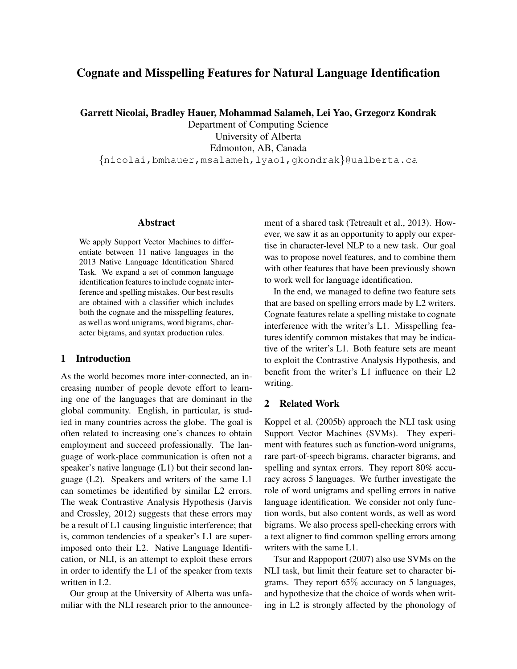# Cognate and Misspelling Features for Natural Language Identification

Garrett Nicolai, Bradley Hauer, Mohammad Salameh, Lei Yao, Grzegorz Kondrak

Department of Computing Science University of Alberta Edmonton, AB, Canada {nicolai,bmhauer,msalameh,lyao1,gkondrak}@ualberta.ca

# Abstract

We apply Support Vector Machines to differentiate between 11 native languages in the 2013 Native Language Identification Shared Task. We expand a set of common language identification features to include cognate interference and spelling mistakes. Our best results are obtained with a classifier which includes both the cognate and the misspelling features, as well as word unigrams, word bigrams, character bigrams, and syntax production rules.

# 1 Introduction

As the world becomes more inter-connected, an increasing number of people devote effort to learning one of the languages that are dominant in the global community. English, in particular, is studied in many countries across the globe. The goal is often related to increasing one's chances to obtain employment and succeed professionally. The language of work-place communication is often not a speaker's native language (L1) but their second language (L2). Speakers and writers of the same L1 can sometimes be identified by similar L2 errors. The weak Contrastive Analysis Hypothesis (Jarvis and Crossley, 2012) suggests that these errors may be a result of L1 causing linguistic interference; that is, common tendencies of a speaker's L1 are superimposed onto their L2. Native Language Identification, or NLI, is an attempt to exploit these errors in order to identify the L1 of the speaker from texts written in L2.

Our group at the University of Alberta was unfamiliar with the NLI research prior to the announcement of a shared task (Tetreault et al., 2013). However, we saw it as an opportunity to apply our expertise in character-level NLP to a new task. Our goal was to propose novel features, and to combine them with other features that have been previously shown to work well for language identification.

In the end, we managed to define two feature sets that are based on spelling errors made by L2 writers. Cognate features relate a spelling mistake to cognate interference with the writer's L1. Misspelling features identify common mistakes that may be indicative of the writer's L1. Both feature sets are meant to exploit the Contrastive Analysis Hypothesis, and benefit from the writer's L1 influence on their L2 writing.

# 2 Related Work

Koppel et al. (2005b) approach the NLI task using Support Vector Machines (SVMs). They experiment with features such as function-word unigrams, rare part-of-speech bigrams, character bigrams, and spelling and syntax errors. They report 80% accuracy across 5 languages. We further investigate the role of word unigrams and spelling errors in native language identification. We consider not only function words, but also content words, as well as word bigrams. We also process spell-checking errors with a text aligner to find common spelling errors among writers with the same L1.

Tsur and Rappoport (2007) also use SVMs on the NLI task, but limit their feature set to character bigrams. They report 65% accuracy on 5 languages, and hypothesize that the choice of words when writing in L2 is strongly affected by the phonology of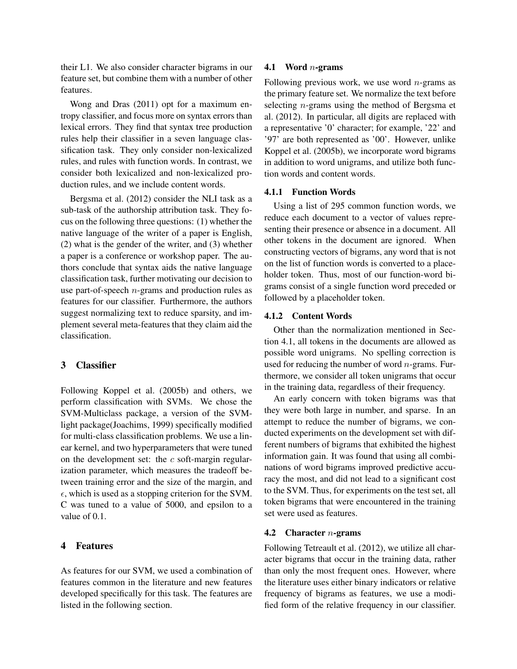their L1. We also consider character bigrams in our feature set, but combine them with a number of other features.

Wong and Dras (2011) opt for a maximum entropy classifier, and focus more on syntax errors than lexical errors. They find that syntax tree production rules help their classifier in a seven language classification task. They only consider non-lexicalized rules, and rules with function words. In contrast, we consider both lexicalized and non-lexicalized production rules, and we include content words.

Bergsma et al. (2012) consider the NLI task as a sub-task of the authorship attribution task. They focus on the following three questions: (1) whether the native language of the writer of a paper is English, (2) what is the gender of the writer, and (3) whether a paper is a conference or workshop paper. The authors conclude that syntax aids the native language classification task, further motivating our decision to use part-of-speech n-grams and production rules as features for our classifier. Furthermore, the authors suggest normalizing text to reduce sparsity, and implement several meta-features that they claim aid the classification.

## 3 Classifier

Following Koppel et al. (2005b) and others, we perform classification with SVMs. We chose the SVM-Multiclass package, a version of the SVMlight package(Joachims, 1999) specifically modified for multi-class classification problems. We use a linear kernel, and two hyperparameters that were tuned on the development set: the  $c$  soft-margin regularization parameter, which measures the tradeoff between training error and the size of the margin, and  $\epsilon$ , which is used as a stopping criterion for the SVM. C was tuned to a value of 5000, and epsilon to a value of 0.1.

### 4 Features

As features for our SVM, we used a combination of features common in the literature and new features developed specifically for this task. The features are listed in the following section.

#### **4.1** Word *n*-grams

Following previous work, we use word  $n$ -grams as the primary feature set. We normalize the text before selecting n-grams using the method of Bergsma et al. (2012). In particular, all digits are replaced with a representative '0' character; for example, '22' and '97' are both represented as '00'. However, unlike Koppel et al. (2005b), we incorporate word bigrams in addition to word unigrams, and utilize both function words and content words.

#### 4.1.1 Function Words

Using a list of 295 common function words, we reduce each document to a vector of values representing their presence or absence in a document. All other tokens in the document are ignored. When constructing vectors of bigrams, any word that is not on the list of function words is converted to a placeholder token. Thus, most of our function-word bigrams consist of a single function word preceded or followed by a placeholder token.

### 4.1.2 Content Words

Other than the normalization mentioned in Section 4.1, all tokens in the documents are allowed as possible word unigrams. No spelling correction is used for reducing the number of word  $n$ -grams. Furthermore, we consider all token unigrams that occur in the training data, regardless of their frequency.

An early concern with token bigrams was that they were both large in number, and sparse. In an attempt to reduce the number of bigrams, we conducted experiments on the development set with different numbers of bigrams that exhibited the highest information gain. It was found that using all combinations of word bigrams improved predictive accuracy the most, and did not lead to a significant cost to the SVM. Thus, for experiments on the test set, all token bigrams that were encountered in the training set were used as features.

#### 4.2 Character  $n$ -grams

Following Tetreault et al. (2012), we utilize all character bigrams that occur in the training data, rather than only the most frequent ones. However, where the literature uses either binary indicators or relative frequency of bigrams as features, we use a modified form of the relative frequency in our classifier.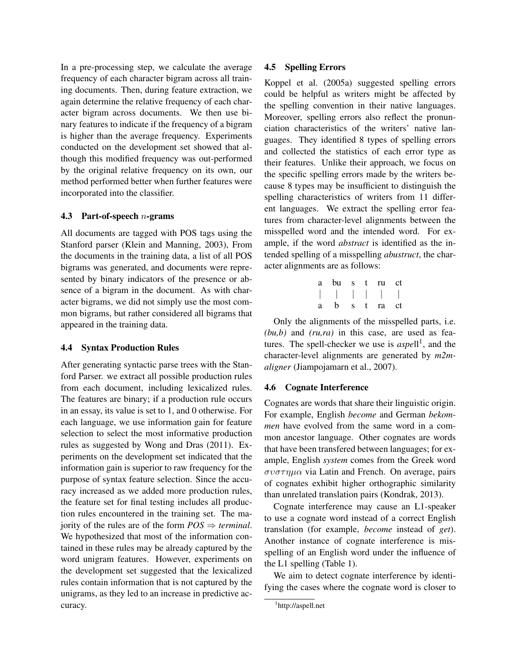In a pre-processing step, we calculate the average frequency of each character bigram across all training documents. Then, during feature extraction, we again determine the relative frequency of each character bigram across documents. We then use binary features to indicate if the frequency of a bigram is higher than the average frequency. Experiments conducted on the development set showed that although this modified frequency was out-performed by the original relative frequency on its own, our method performed better when further features were incorporated into the classifier.

### 4.3 Part-of-speech  $n$ -grams

All documents are tagged with POS tags using the Stanford parser (Klein and Manning, 2003), From the documents in the training data, a list of all POS bigrams was generated, and documents were represented by binary indicators of the presence or absence of a bigram in the document. As with character bigrams, we did not simply use the most common bigrams, but rather considered all bigrams that appeared in the training data.

### 4.4 Syntax Production Rules

After generating syntactic parse trees with the Stanford Parser. we extract all possible production rules from each document, including lexicalized rules. The features are binary; if a production rule occurs in an essay, its value is set to 1, and 0 otherwise. For each language, we use information gain for feature selection to select the most informative production rules as suggested by Wong and Dras (2011). Experiments on the development set indicated that the information gain is superior to raw frequency for the purpose of syntax feature selection. Since the accuracy increased as we added more production rules, the feature set for final testing includes all production rules encountered in the training set. The majority of the rules are of the form  $POS \Rightarrow terminal$ . We hypothesized that most of the information contained in these rules may be already captured by the word unigram features. However, experiments on the development set suggested that the lexicalized rules contain information that is not captured by the unigrams, as they led to an increase in predictive accuracy.

### 4.5 Spelling Errors

Koppel et al. (2005a) suggested spelling errors could be helpful as writers might be affected by the spelling convention in their native languages. Moreover, spelling errors also reflect the pronunciation characteristics of the writers' native languages. They identified 8 types of spelling errors and collected the statistics of each error type as their features. Unlike their approach, we focus on the specific spelling errors made by the writers because 8 types may be insufficient to distinguish the spelling characteristics of writers from 11 different languages. We extract the spelling error features from character-level alignments between the misspelled word and the intended word. For example, if the word *abstract* is identified as the intended spelling of a misspelling *abustruct*, the character alignments are as follows:

|   | a bust ruct |  |                                     |  |
|---|-------------|--|-------------------------------------|--|
|   |             |  | $  \cdot  $ $  \cdot  $ $  \cdot  $ |  |
| a | b.          |  | s t ra ct                           |  |

Only the alignments of the misspelled parts, i.e. *(bu,b)* and *(ru,ra)* in this case, are used as features. The spell-checker we use is  $aspell<sup>1</sup>$ , and the character-level alignments are generated by *m2maligner* (Jiampojamarn et al., 2007).

#### 4.6 Cognate Interference

Cognates are words that share their linguistic origin. For example, English *become* and German *bekommen* have evolved from the same word in a common ancestor language. Other cognates are words that have been transfered between languages; for example, English *system* comes from the Greek word  $\sigma \nu \sigma \tau \eta \mu \alpha$  via Latin and French. On average, pairs of cognates exhibit higher orthographic similarity than unrelated translation pairs (Kondrak, 2013).

Cognate interference may cause an L1-speaker to use a cognate word instead of a correct English translation (for example, *become* instead of *get*). Another instance of cognate interference is misspelling of an English word under the influence of the L1 spelling (Table 1).

We aim to detect cognate interference by identifying the cases where the cognate word is closer to

<sup>1</sup> http://aspell.net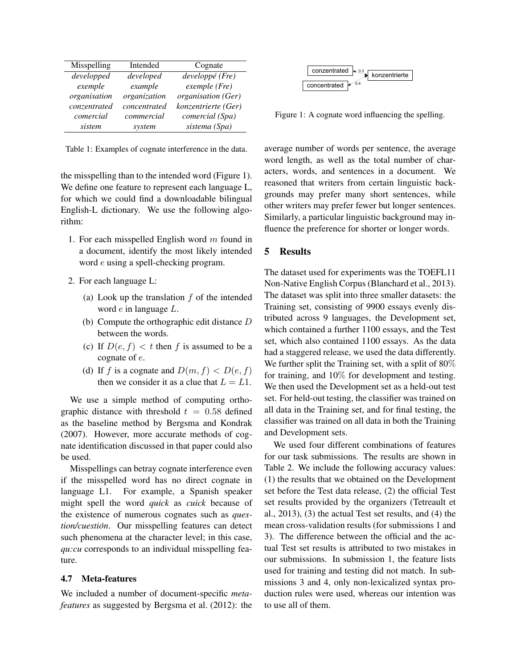| Misspelling  | Intended     | Cognate             |
|--------------|--------------|---------------------|
| developped   | developed    | developpé (Fre)     |
| exemple      | example      | exemple (Fre)       |
| organisation | organization | organisation (Ger)  |
| conzentrated | concentrated | konzentrierte (Ger) |
| comercial    | commercial   | comercial (Spa)     |
| sistem       | system       | sistema (Spa)       |

Table 1: Examples of cognate interference in the data.

the misspelling than to the intended word (Figure 1). We define one feature to represent each language L, for which we could find a downloadable bilingual English-L dictionary. We use the following algorithm:

- 1. For each misspelled English word  $m$  found in a document, identify the most likely intended word e using a spell-checking program.
- 2. For each language L:
	- (a) Look up the translation  $f$  of the intended word e in language L.
	- (b) Compute the orthographic edit distance D between the words.
	- (c) If  $D(e, f) < t$  then f is assumed to be a cognate of e.
	- (d) If f is a cognate and  $D(m, f) < D(e, f)$ then we consider it as a clue that  $L = L1$ .

We use a simple method of computing orthographic distance with threshold  $t = 0.58$  defined as the baseline method by Bergsma and Kondrak (2007). However, more accurate methods of cognate identification discussed in that paper could also be used.

Misspellings can betray cognate interference even if the misspelled word has no direct cognate in language L1. For example, a Spanish speaker might spell the word *quick* as *cuick* because of the existence of numerous cognates such as *question/cuestion´* . Our misspelling features can detect such phenomena at the character level; in this case, *qu:cu* corresponds to an individual misspelling feature. *featuring density* and  $\alpha$  and  $\alpha$  and  $\alpha$  and  $\alpha$  and  $\alpha$  and  $\alpha$  and  $\alpha$  and  $\alpha$  and  $\alpha$  and  $\alpha$  and  $\alpha$  and  $\alpha$  and  $\alpha$  and  $\alpha$  and  $\alpha$  and  $\alpha$  and  $\alpha$  and  $\alpha$  and  $\alpha$  and  $\alpha$  and  $\alpha$  and  $\alpha$  and

#### 4.7 Meta-features

We included a number of document-specific *meta-*



Figure 1: A cognate word influencing the spelling.

average number of words per sentence, the average word length, as well as the total number of characters, words, and sentences in a document. We reasoned that writers from certain linguistic backgrounds may prefer many short sentences, while other writers may prefer fewer but longer sentences. Similarly, a particular linguistic background may influence the preference for shorter or longer words.

#### 5 Results

The dataset used for experiments was the TOEFL11 Non-Native English Corpus (Blanchard et al., 2013). The dataset was split into three smaller datasets: the Training set, consisting of 9900 essays evenly distributed across 9 languages, the Development set, which contained a further 1100 essays, and the Test set, which also contained 1100 essays. As the data had a staggered release, we used the data differently. We further split the Training set, with a split of 80% for training, and 10% for development and testing. We then used the Development set as a held-out test set. For held-out testing, the classifier was trained on all data in the Training set, and for final testing, the classifier was trained on all data in both the Training and Development sets.

We used four different combinations of features for our task submissions. The results are shown in Table 2. We include the following accuracy values: (1) the results that we obtained on the Development set before the Test data release, (2) the official Test set results provided by the organizers (Tetreault et al., 2013), (3) the actual Test set results, and (4) the mean cross-validation results (for submissions 1 and 3). The difference between the official and the actual Test set results is attributed to two mistakes in our submissions. In submission 1, the feature lists used for training and testing did not match. In submissions 3 and 4, only non-lexicalized syntax production rules were used, whereas our intention was to use all of them.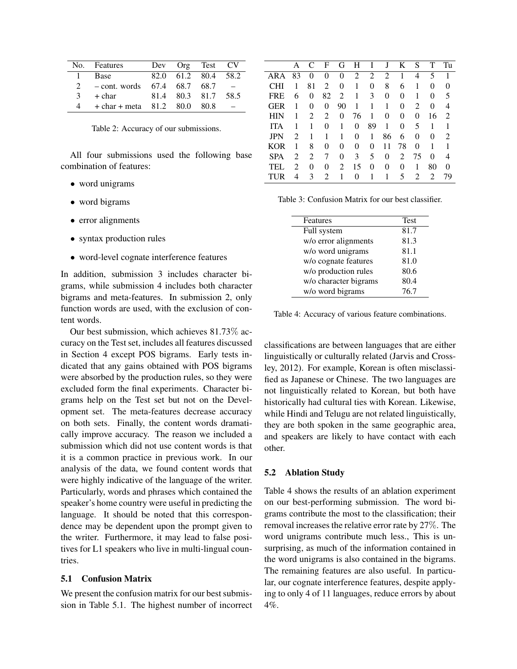| No.                         | Features                  | Dev |                | Org Test CV         |      |
|-----------------------------|---------------------------|-----|----------------|---------------------|------|
|                             | Base                      |     |                | 82.0 61.2 80.4 58.2 |      |
| $\mathcal{D}_{\mathcal{L}}$ | - cont. words             |     | 67.4 68.7 68.7 |                     |      |
| 3                           | + char                    |     | 81.4 80.3 81.7 |                     | 58.5 |
| 4                           | $+ char + meta$ 81.2 80.0 |     |                | - 80.8              |      |

Table 2: Accuracy of our submissions.

All four submissions used the following base combination of features:

- word unigrams
- word bigrams
- error alignments
- syntax production rules
- word-level cognate interference features

In addition, submission 3 includes character bigrams, while submission 4 includes both character bigrams and meta-features. In submission 2, only function words are used, with the exclusion of content words.

Our best submission, which achieves 81.73% accuracy on the Test set, includes all features discussed in Section 4 except POS bigrams. Early tests indicated that any gains obtained with POS bigrams were absorbed by the production rules, so they were excluded form the final experiments. Character bigrams help on the Test set but not on the Development set. The meta-features decrease accuracy on both sets. Finally, the content words dramatically improve accuracy. The reason we included a submission which did not use content words is that it is a common practice in previous work. In our analysis of the data, we found content words that were highly indicative of the language of the writer. Particularly, words and phrases which contained the speaker's home country were useful in predicting the language. It should be noted that this correspondence may be dependent upon the prompt given to the writer. Furthermore, it may lead to false positives for L1 speakers who live in multi-lingual countries.

#### 5.1 Confusion Matrix

We present the confusion matrix for our best submission in Table 5.1. The highest number of incorrect

|            | A  | C  | F  | G        | н              |                | J  | K  | S  | т  | Tu                          |
|------------|----|----|----|----------|----------------|----------------|----|----|----|----|-----------------------------|
| ARA        | 83 | 0  | 0  | 0        | $\overline{2}$ | $\overline{2}$ | 2  |    | 4  | 5  |                             |
| <b>CHI</b> | 1  | 81 | 2  | $\Omega$ | 1              | 0              | 8  | 6  | 1  | 0  | $\Omega$                    |
| <b>FRE</b> | 6  | 0  | 82 | 2        | 1              | 3              | 0  | 0  | 1  | 0  | 5                           |
| <b>GER</b> | 1  | 0  | 0  | 90       | 1              | 1              | 1  | 0  | 2  | 0  | 4                           |
| HIN        | 1  | 2  | 2  | 0        | 76             | 1              | 0  | 0  | 0  | 16 | $\mathcal{D}_{\mathcal{L}}$ |
| <b>ITA</b> | 1  | 1  | 0  | 1        | 0              | 89             | 1  | 0  | 5  | 1  |                             |
| <b>JPN</b> | 2  | 1  | 1  | 1        | 0              | 1              | 86 | 6  | 0  | 0  | $\mathcal{D}_{\mathcal{L}}$ |
| <b>KOR</b> | 1  | 8  | 0  | 0        | 0              | 0              | 11 | 78 | 0  |    |                             |
| <b>SPA</b> | 2  | 2  | 7  | 0        | 3              | 5              | 0  | 2  | 75 | 0  |                             |
| TEL        | 2  | 0  | 0  | 2        | 15             | $^{(1)}$       | 0  | 0  | 1  | 80 | $\mathbf{0}$                |
| TUR        |    | 3  | 2  |          | $\theta$       |                |    | 5  | 2  | 2  |                             |

Table 3: Confusion Matrix for our best classifier.

| Features              | <b>Test</b> |
|-----------------------|-------------|
| Full system           | 81.7        |
| w/o error alignments  | 81.3        |
| w/o word unigrams     | 81.1        |
| w/o cognate features  | 81.0        |
| w/o production rules  | 80.6        |
| w/o character bigrams | 80.4        |
| w/o word bigrams      | 76.7        |
|                       |             |

Table 4: Accuracy of various feature combinations.

classifications are between languages that are either linguistically or culturally related (Jarvis and Crossley, 2012). For example, Korean is often misclassified as Japanese or Chinese. The two languages are not linguistically related to Korean, but both have historically had cultural ties with Korean. Likewise, while Hindi and Telugu are not related linguistically, they are both spoken in the same geographic area, and speakers are likely to have contact with each other.

### 5.2 Ablation Study

Table 4 shows the results of an ablation experiment on our best-performing submission. The word bigrams contribute the most to the classification; their removal increases the relative error rate by 27%. The word unigrams contribute much less., This is unsurprising, as much of the information contained in the word unigrams is also contained in the bigrams. The remaining features are also useful. In particular, our cognate interference features, despite applying to only 4 of 11 languages, reduce errors by about 4%.